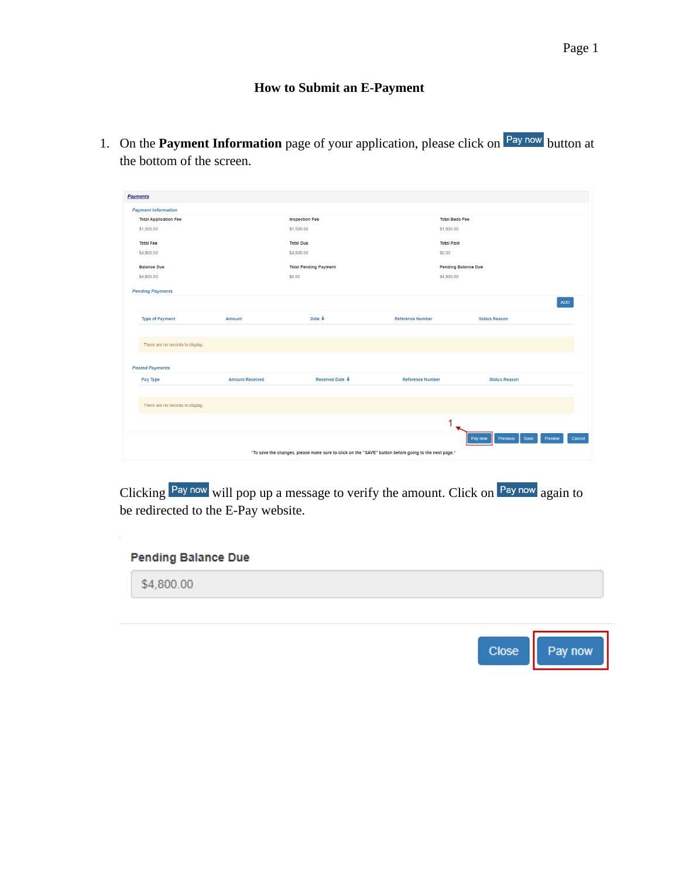## **How to Submit an E-Payment**

1. On the **Payment Information** page of your application, please click on **Pay now** button at the bottom of the screen.

| <b>Payments</b>                                                                                      |                        |                              |                         |                                               |        |
|------------------------------------------------------------------------------------------------------|------------------------|------------------------------|-------------------------|-----------------------------------------------|--------|
| <b>Payment Information</b>                                                                           |                        |                              |                         |                                               |        |
| <b>Total Application Fee</b>                                                                         |                        | <b>Inspection Fee</b>        | <b>Total Beds Fee</b>   |                                               |        |
| \$1,500.00                                                                                           |                        | \$1,500.00                   | \$1,800.00              |                                               |        |
| <b>Total Fee</b>                                                                                     |                        | <b>Total Due</b>             | <b>Total Paid</b>       |                                               |        |
| \$4,800.00                                                                                           |                        | \$4,800.00                   | \$0,00                  |                                               |        |
| <b>Balance Due</b>                                                                                   |                        | <b>Total Pending Payment</b> |                         | <b>Pending Balance Due</b>                    |        |
| \$4,800.00                                                                                           |                        | \$0.00                       | \$4,800.00              |                                               |        |
|                                                                                                      |                        |                              |                         |                                               |        |
| <b>Pending Payments</b>                                                                              |                        |                              |                         |                                               |        |
|                                                                                                      |                        |                              |                         |                                               | ADD    |
| <b>Type of Payment</b>                                                                               | Amount                 | Date $\ddagger$              | <b>Reference Number</b> | <b>Status Reason</b>                          |        |
|                                                                                                      |                        |                              |                         |                                               |        |
| There are no records to display.                                                                     |                        |                              |                         |                                               |        |
|                                                                                                      |                        |                              |                         |                                               |        |
| <b>Posted Payments</b>                                                                               |                        |                              |                         |                                               |        |
| Pay Type                                                                                             | <b>Amount Received</b> | <b>Received Date ↓</b>       | <b>Reference Number</b> | <b>Status Reason</b>                          |        |
|                                                                                                      |                        |                              |                         |                                               |        |
| There are no records to display.                                                                     |                        |                              |                         |                                               |        |
|                                                                                                      |                        |                              |                         |                                               |        |
|                                                                                                      |                        |                              | 1                       |                                               |        |
|                                                                                                      |                        |                              |                         | Save<br><b>Previous</b><br>Preview<br>Pay now | Cancel |
|                                                                                                      |                        |                              |                         |                                               |        |
| *To save the changes, please make sure to click on the "SAVE" button before going to the next page.* |                        |                              |                         |                                               |        |

Clicking Paynow will pop up a message to verify the amount. Click on Paynow again to be redirected to the E-Pay website.

### **Pending Balance Due**

\$4,800.00

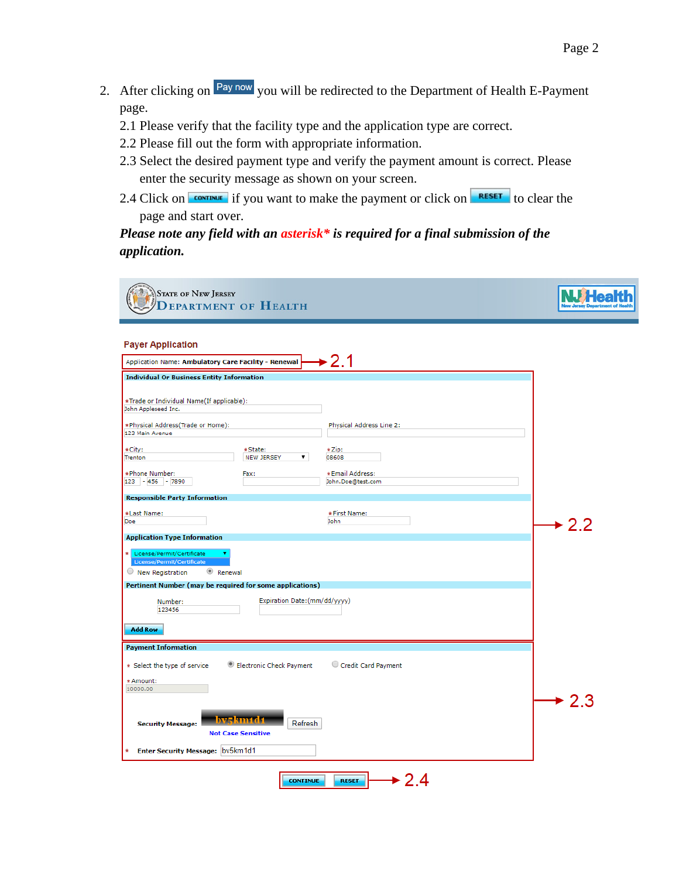- 2. After clicking on <sup>Pay now</sup> you will be redirected to the Department of Health E-Payment page.
	- 2.1 Please verify that the facility type and the application type are correct.
	- 2.2 Please fill out the form with appropriate information.
	- 2.3 Select the desired payment type and verify the payment amount is correct. Please enter the security message as shown on your screen.
	- 2.4 Click on  $\frac{1}{2}$  continue if you want to make the payment or click on **RESET** to clear the page and start over.

## *Please note any field with an asterisk\* is required for a final submission of the application.*

**STATE OF NEW JERSEY NJ Health DEPARTMENT OF HEALTH Payer Application**  $2.1$ Application Name: Ambulatory Care Facility - Renewal **Individual Or Business Entity Information** \*Trade or Individual Name(If applicable): John Appleseed Inc. \*Physical Address(Trade or Home): Physical Address Line 2: 123 Main Avenue \*City:  $*$ State:  $\star$  7in: NEW JERSEY 08608 Trenton \*Phone Number: Fax: \*Email Address:  $123 - 456 - 7890$ John.Doe@test.com **Responsible Party Information** \*Last Name: \*First Name: Doe John  $\blacktriangleright$  2.2 **Application Type Information**  $\overline{\bigcirc}$  New Registration <sup>®</sup> Renewal Pertinent Number (may be required for some applications) Expiration Date:(mm/dd/yyyy) Number: 123456 **Add Row Payment Information** Electronic Check Payment C Credit Card Payment \* Select the type of service  $*$  Amount: 10000.00  $\div$  2.3 zskm 10 Refresh **Security Message: Not Case Sensitive** Enter Security Message: bv5km1d1  $\div 2.4$ **CONTINUE** RESET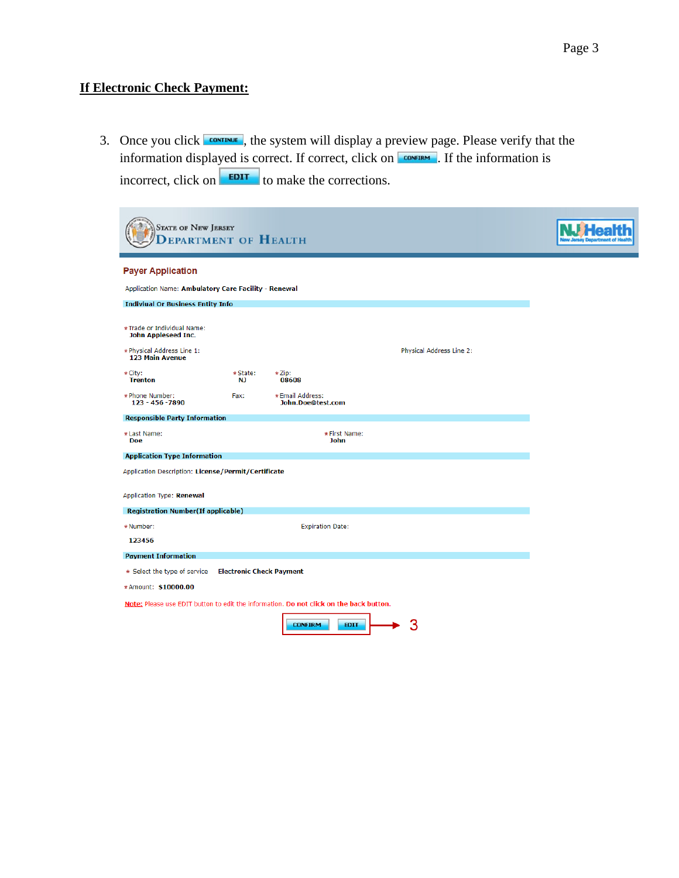# **If Electronic Check Payment:**

÷

3. Once you click  $\frac{1}{2}$ , the system will display a preview page. Please verify that the information displayed is correct. If correct, click on **CONFIRM**. If the information is incorrect, click on  $\boxed{\text{EPII}}$  to make the corrections.

| <b>STATE OF NEW JERSEY</b><br>PARTMENT OF HEALTH                                                          |                                 |                                                                                        |                          |  |
|-----------------------------------------------------------------------------------------------------------|---------------------------------|----------------------------------------------------------------------------------------|--------------------------|--|
| <b>Payer Application</b>                                                                                  |                                 |                                                                                        |                          |  |
| Application Name: Ambulatory Care Facility - Renewal                                                      |                                 |                                                                                        |                          |  |
| <b>Indiviual Or Business Entity Info</b>                                                                  |                                 |                                                                                        |                          |  |
| *Trade or Individual Name:<br>John Appleseed Inc.<br>* Physical Address Line 1:<br><b>123 Main Avenue</b> |                                 |                                                                                        | Physical Address Line 2: |  |
| * City:<br><b>Trenton</b>                                                                                 | * State:<br><b>NJ</b>           | * Zip:<br>08608                                                                        |                          |  |
| * Phone Number:<br>123 - 456 - 7890                                                                       | Fax:                            | *Email Address:<br>John.Doe@test.com                                                   |                          |  |
| <b>Responsible Party Information</b>                                                                      |                                 |                                                                                        |                          |  |
| *Last Name:<br><b>Doe</b>                                                                                 |                                 | * First Name:<br><b>John</b>                                                           |                          |  |
| <b>Application Type Information</b>                                                                       |                                 |                                                                                        |                          |  |
| Application Description: License/Permit/Certificate                                                       |                                 |                                                                                        |                          |  |
| Application Type: Renewal                                                                                 |                                 |                                                                                        |                          |  |
| <b>Registration Number(If applicable)</b>                                                                 |                                 |                                                                                        |                          |  |
| *Number:                                                                                                  |                                 | <b>Expiration Date:</b>                                                                |                          |  |
| 123456                                                                                                    |                                 |                                                                                        |                          |  |
| <b>Payment Information</b>                                                                                |                                 |                                                                                        |                          |  |
| * Select the type of service                                                                              | <b>Electronic Check Payment</b> |                                                                                        |                          |  |
| *Amount: \$10000.00                                                                                       |                                 |                                                                                        |                          |  |
|                                                                                                           |                                 | Note: Please use EDIT button to edit the information. Do not click on the back button. |                          |  |
|                                                                                                           |                                 | <b>CONFIRM</b><br><b>EDIT</b>                                                          | 3                        |  |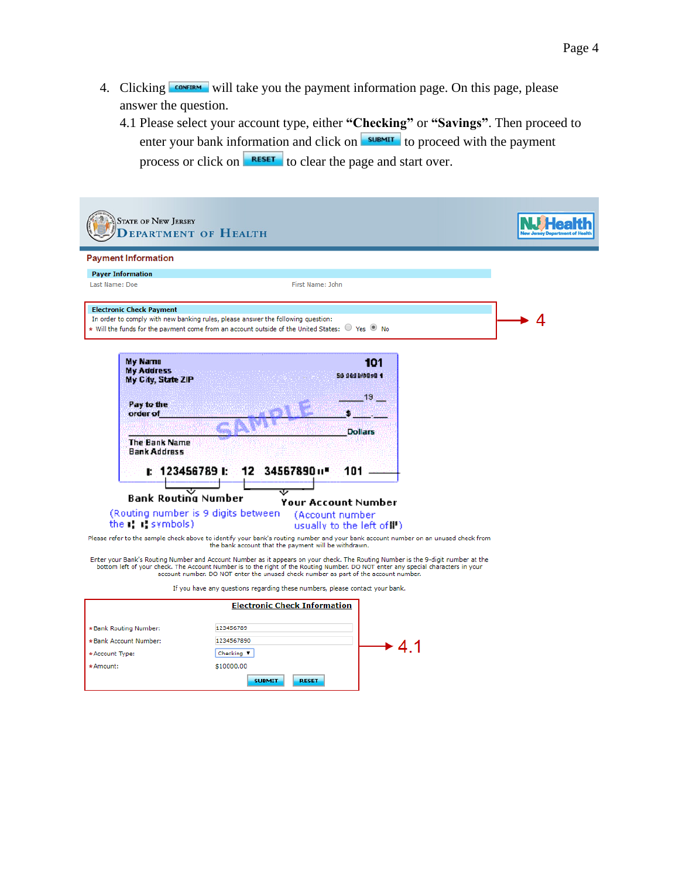- 4. Clicking **CONFIRM** will take you the payment information page. On this page, please answer the question.
	- 4.1 Please select your account type, either **"Checking"** or **"Savings"**. Then proceed to enter your bank information and click on **SUBMIT** to proceed with the payment process or click on **RESET** to clear the page and start over.

| <b>STATE OF NEW JERSEY</b>                                                                                           | <b>EPARTMENT OF HEALTH</b>                                                                                                                                                                                                                                                                                                                                                                                                                  |  |
|----------------------------------------------------------------------------------------------------------------------|---------------------------------------------------------------------------------------------------------------------------------------------------------------------------------------------------------------------------------------------------------------------------------------------------------------------------------------------------------------------------------------------------------------------------------------------|--|
| <b>Payment Information</b>                                                                                           |                                                                                                                                                                                                                                                                                                                                                                                                                                             |  |
| <b>Payer Information</b>                                                                                             |                                                                                                                                                                                                                                                                                                                                                                                                                                             |  |
| Last Name: Doe                                                                                                       | First Name: John                                                                                                                                                                                                                                                                                                                                                                                                                            |  |
| <b>Electronic Check Payment</b>                                                                                      | In order to comply with new banking rules, please answer the following question:<br>* Will the funds for the payment come from an account outside of the United States: $\bigcirc$ Yes $\circledast$ No                                                                                                                                                                                                                                     |  |
| My Name<br><b>My Address</b><br>My City, State ZIP<br>Pay to the<br>order of<br>The Bank Name<br><b>Bank Address</b> | 101<br>50 989 979 98 1<br>19<br><b>Dollars</b>                                                                                                                                                                                                                                                                                                                                                                                              |  |
|                                                                                                                      | $12 \quad 34567890 \,\mathrm{m}$<br>1: 1234567891:<br>101<br><b>Bank Routing Number</b>                                                                                                                                                                                                                                                                                                                                                     |  |
| the $\mathbf{r}$ : $\mathbf{r}$ symbols)                                                                             | <b>Your Account Number</b><br>(Routing number is 9 digits between)<br>(Account number)<br>usually to the left of !! )                                                                                                                                                                                                                                                                                                                       |  |
|                                                                                                                      | Please refer to the sample check above to identify your bank's routing number and your bank account number on an unused check from<br>the bank account that the payment will be withdrawn.                                                                                                                                                                                                                                                  |  |
|                                                                                                                      | Enter your Bank's Routing Number and Account Number as it appears on your check. The Routing Number is the 9-digit number at the<br>bottom left of your check. The Account Number is to the right of the Routing Number. DO NOT enter any special characters in your<br>account number. DO NOT enter the unused check number as part of the account number.<br>If you have any questions regarding these numbers, please contact your bank. |  |
|                                                                                                                      | <b>Electronic Check Information</b>                                                                                                                                                                                                                                                                                                                                                                                                         |  |
| *Bank Routing Number:                                                                                                | 123456789                                                                                                                                                                                                                                                                                                                                                                                                                                   |  |
| *Bank Account Number:                                                                                                | 1234567890<br>► <i>ለ</i> ላ                                                                                                                                                                                                                                                                                                                                                                                                                  |  |

\*Account Type:

\*Amount:

Checking  $\Psi$ \$10000.00

**SUBMIT** 

RESET

 $\div$  4.1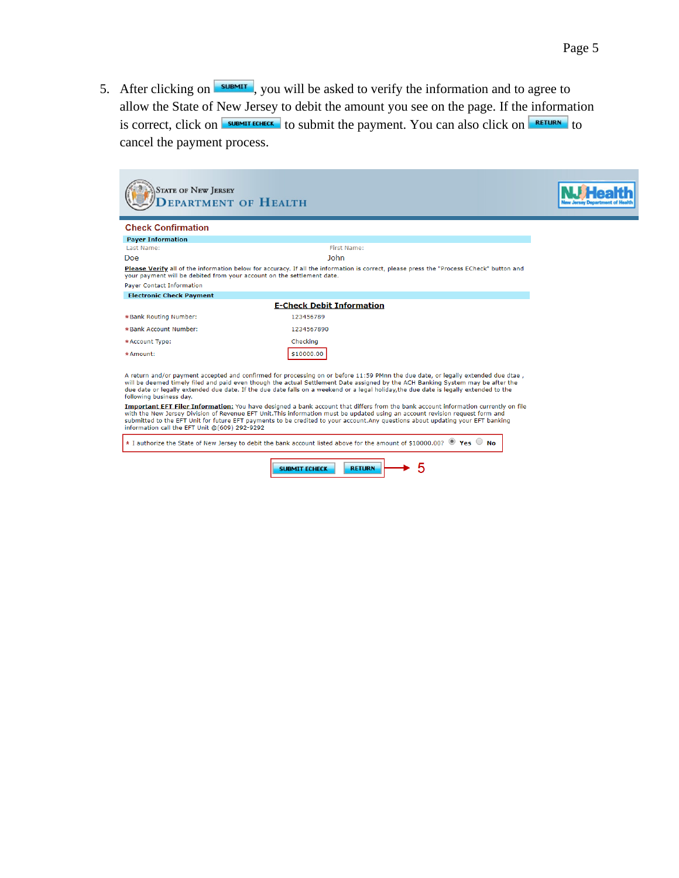5. After clicking on  $\sqrt{s_{\text{UBMIT}}}$ , you will be asked to verify the information and to agree to allow the State of New Jersey to debit the amount you see on the page. If the information is correct, click on  $\sqrt{\frac{SUBMITECHECK}{N}}$  to submit the payment. You can also click on  $\sqrt{\frac{RETLURN}{N}}$  to cancel the payment process.

| <b>STATE OF NEW JERSEY</b><br><b>EPARTMENT OF HEALTH</b>                                            |                                                                                                                                                                                                                                                                                                                                                                                                                                                                                                                                                                                                                                                                                                                                                                                                                         |  |
|-----------------------------------------------------------------------------------------------------|-------------------------------------------------------------------------------------------------------------------------------------------------------------------------------------------------------------------------------------------------------------------------------------------------------------------------------------------------------------------------------------------------------------------------------------------------------------------------------------------------------------------------------------------------------------------------------------------------------------------------------------------------------------------------------------------------------------------------------------------------------------------------------------------------------------------------|--|
| <b>Check Confirmation</b>                                                                           |                                                                                                                                                                                                                                                                                                                                                                                                                                                                                                                                                                                                                                                                                                                                                                                                                         |  |
| <b>Payer Information</b>                                                                            |                                                                                                                                                                                                                                                                                                                                                                                                                                                                                                                                                                                                                                                                                                                                                                                                                         |  |
| Last Name:                                                                                          | <b>First Name:</b>                                                                                                                                                                                                                                                                                                                                                                                                                                                                                                                                                                                                                                                                                                                                                                                                      |  |
| Doe                                                                                                 | John                                                                                                                                                                                                                                                                                                                                                                                                                                                                                                                                                                                                                                                                                                                                                                                                                    |  |
| your payment will be debited from your account on the settlement date.<br>Payer Contact Information | Please Verify all of the information below for accuracy. If all the information is correct, please press the "Process ECheck" button and                                                                                                                                                                                                                                                                                                                                                                                                                                                                                                                                                                                                                                                                                |  |
| <b>Electronic Check Payment</b>                                                                     |                                                                                                                                                                                                                                                                                                                                                                                                                                                                                                                                                                                                                                                                                                                                                                                                                         |  |
|                                                                                                     | <b>E-Check Debit Information</b>                                                                                                                                                                                                                                                                                                                                                                                                                                                                                                                                                                                                                                                                                                                                                                                        |  |
| *Bank Routing Number:                                                                               | 123456789                                                                                                                                                                                                                                                                                                                                                                                                                                                                                                                                                                                                                                                                                                                                                                                                               |  |
| *Bank Account Number:                                                                               | 1234567890                                                                                                                                                                                                                                                                                                                                                                                                                                                                                                                                                                                                                                                                                                                                                                                                              |  |
| * Account Type:                                                                                     | Checking                                                                                                                                                                                                                                                                                                                                                                                                                                                                                                                                                                                                                                                                                                                                                                                                                |  |
| $*$ Amount:                                                                                         | \$10000.00                                                                                                                                                                                                                                                                                                                                                                                                                                                                                                                                                                                                                                                                                                                                                                                                              |  |
| following business day.<br>information call the EFT Unit @(609) 292-9292                            | A return and/or payment accepted and confirmed for processing on or before 11:59 PMnn the due date, or legally extended due dtae,<br>will be deemed timely filed and paid even though the actual Settlement Date assigned by the ACH Banking System may be after the<br>due date or legally extended due date. If the due date falls on a weekend or a legal holiday, the due date is legally extended to the<br>Important EFT Filer Information: You have designed a bank account that differs from the bank account information currently on file<br>with the New Jersey Division of Revenue EFT Unit. This information must be updated using an account revision request form and<br>submitted to the EFT Unit for future EFT payments to be credited to your account. Any questions about updating your EFT banking |  |
|                                                                                                     | * I authorize the State of New Jersey to debit the bank account listed above for the amount of \$10000.00? <sup>1</sup> Yes No                                                                                                                                                                                                                                                                                                                                                                                                                                                                                                                                                                                                                                                                                          |  |
|                                                                                                     | <b>RETURN</b><br><b>SUBMIT ECHECK</b>                                                                                                                                                                                                                                                                                                                                                                                                                                                                                                                                                                                                                                                                                                                                                                                   |  |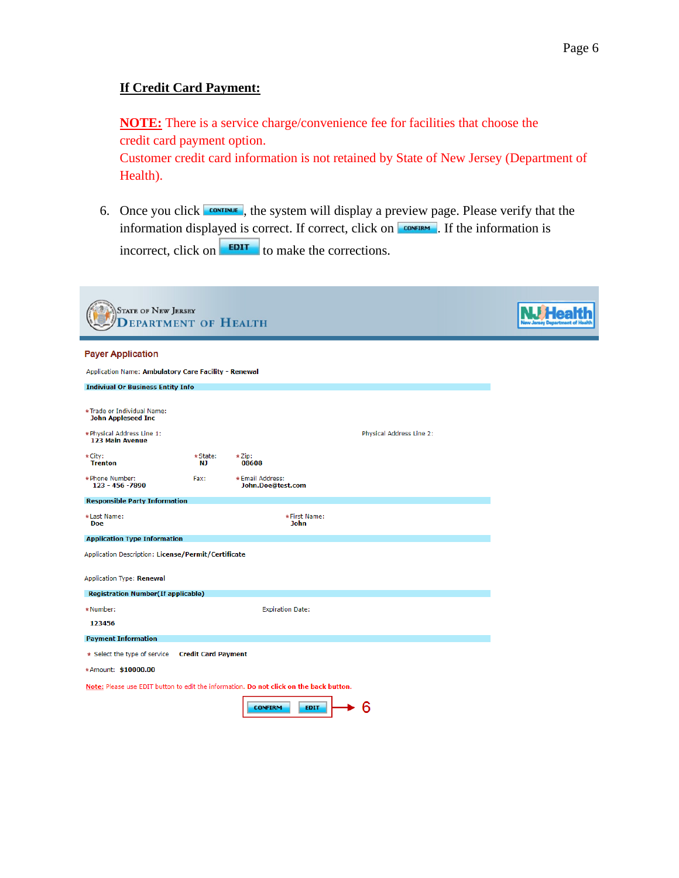### **If Credit Card Payment:**

**NOTE:** There is a service charge/convenience fee for facilities that choose the credit card payment option.

Customer credit card information is not retained by State of New Jersey (Department of Health).

6. Once you click  $\frac{1}{\sqrt{2}}$ , the system will display a preview page. Please verify that the information displayed is correct. If correct, click on  $\overline{\text{COMFIRM}}$ . If the information is incorrect, click on  $\begin{array}{|c|c|} \hline \text{EPI} & \text{to make the corrections.} \hline \end{array}$ 

| <b>STATE OF NEW JERSEY</b><br>EPARTMENT OF HEALTH                                                        |                 |                                                                                        |                          |  |
|----------------------------------------------------------------------------------------------------------|-----------------|----------------------------------------------------------------------------------------|--------------------------|--|
| <b>Payer Application</b>                                                                                 |                 |                                                                                        |                          |  |
| Application Name: Ambulatory Care Facility - Renewal                                                     |                 |                                                                                        |                          |  |
| <b>Indiviual Or Business Entity Info</b>                                                                 |                 |                                                                                        |                          |  |
| *Trade or Individual Name:<br><b>John Appleseed Inc</b><br>* Physical Address Line 1:<br>123 Main Avenue |                 |                                                                                        | Physical Address Line 2: |  |
| * City:<br><b>Trenton</b>                                                                                | * State:<br>NJ. | * Zip:<br>08608                                                                        |                          |  |
| * Phone Number:<br>123 - 456 -7890                                                                       | Fax:            | *Email Address:<br>John.Doe@test.com                                                   |                          |  |
| <b>Responsible Party Information</b>                                                                     |                 |                                                                                        |                          |  |
| *Last Name:<br><b>Doe</b>                                                                                |                 | * First Name:<br><b>John</b>                                                           |                          |  |
| <b>Application Type Information</b>                                                                      |                 |                                                                                        |                          |  |
| Application Description: License/Permit/Certificate                                                      |                 |                                                                                        |                          |  |
| Application Type: Renewal                                                                                |                 |                                                                                        |                          |  |
| <b>Registration Number(If applicable)</b>                                                                |                 |                                                                                        |                          |  |
| * Number:                                                                                                |                 | <b>Expiration Date:</b>                                                                |                          |  |
| 123456                                                                                                   |                 |                                                                                        |                          |  |
| <b>Payment Information</b>                                                                               |                 |                                                                                        |                          |  |
| * Select the type of service  Credit Card Payment                                                        |                 |                                                                                        |                          |  |
| *Amount: \$10000.00                                                                                      |                 |                                                                                        |                          |  |
|                                                                                                          |                 | Note: Please use EDIT button to edit the information. Do not click on the back button. |                          |  |
|                                                                                                          |                 | <b>CONFIRM</b><br><b>EDIT</b>                                                          | 6                        |  |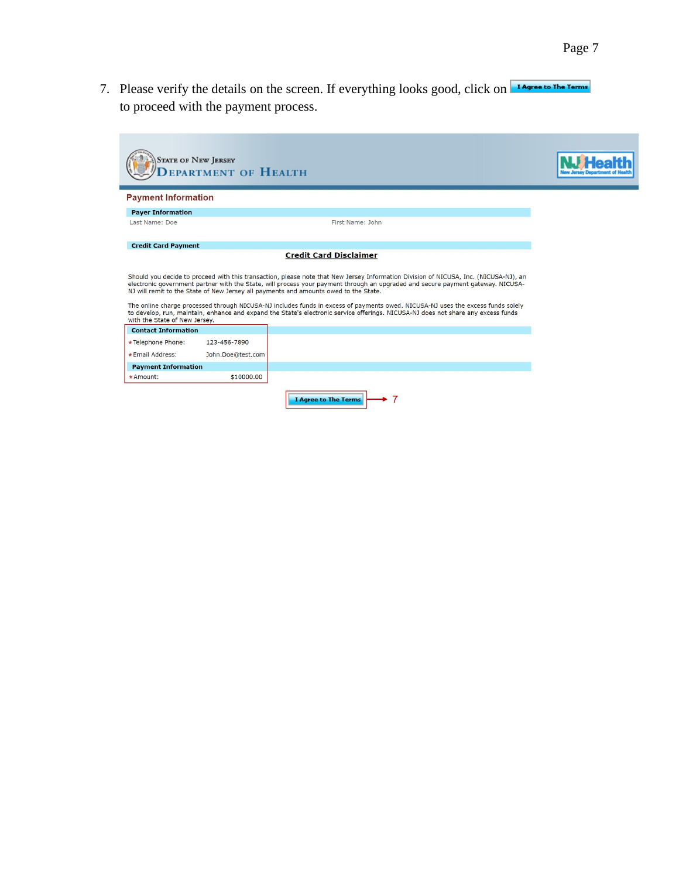7. Please verify the details on the screen. If everything looks good, click on TAgree to The Terms to proceed with the payment process.

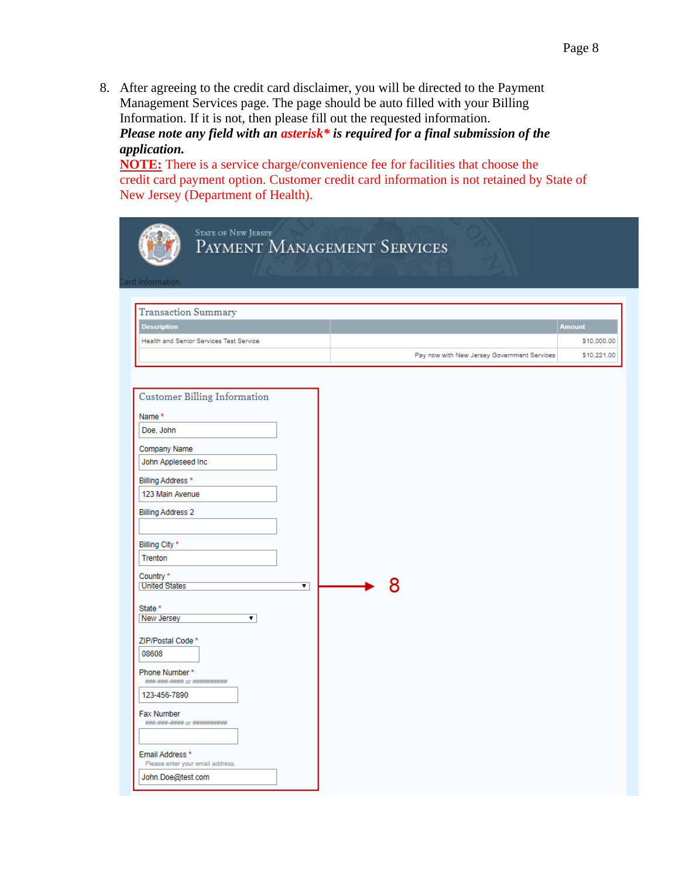8. After agreeing to the credit card disclaimer, you will be directed to the Payment Management Services page. The page should be auto filled with your Billing Information. If it is not, then please fill out the requested information. *Please note any field with an asterisk\* is required for a final submission of the application.*

**NOTE:** There is a service charge/convenience fee for facilities that choose the credit card payment option. Customer credit card information is not retained by State of New Jersey (Department of Health).

| <b>STATE OF NEW JERSEY</b><br>PAYMENT MANAGEMENT SERVICES<br>ard Information.                                                                                                                                                                                                                                                                                                                                                                                                                 |                                                                                            |
|-----------------------------------------------------------------------------------------------------------------------------------------------------------------------------------------------------------------------------------------------------------------------------------------------------------------------------------------------------------------------------------------------------------------------------------------------------------------------------------------------|--------------------------------------------------------------------------------------------|
| <b>Transaction Summary</b><br><b>Description</b><br><b>Health and Senior Services Test Service</b>                                                                                                                                                                                                                                                                                                                                                                                            | <b>Amount</b><br>\$10,000.00<br>\$10,221.00<br>Pay now with New Jersey Government Services |
| <b>Customer Billing Information</b><br>Name*<br>Doe, John<br>Company Name<br>John Appleseed Inc<br>Billing Address *<br>123 Main Avenue<br><b>Billing Address 2</b><br>Billing City *<br>Trenton<br>Country *<br><b>United States</b><br>▾<br>State *<br>New Jersey<br>▼<br>ZIP/Postal Code *<br>08608<br>Phone Number*<br>### ### #### or ##########<br>123-456-7890<br>Fax Number<br>### ### #### or ###########<br>Email Address*<br>Please enter your email address.<br>John.Doe@test.com | 8                                                                                          |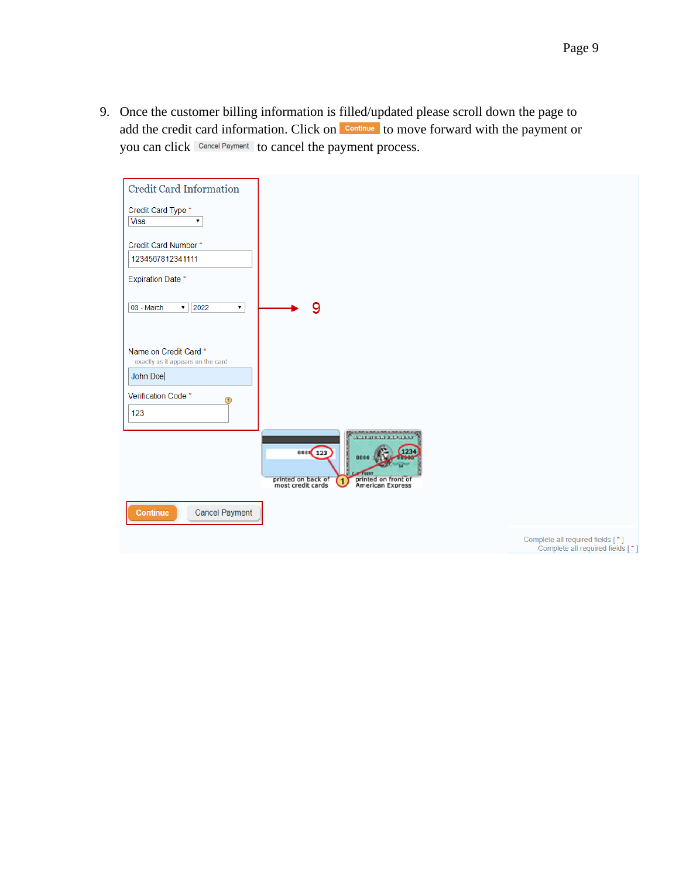9. Once the customer billing information is filled/updated please scroll down the page to add the credit card information. Click on **Continue** to move forward with the payment or you can click Cancel Payment to cancel the payment process.



Complete all required fields [\*]<br>Complete all required fields [\*]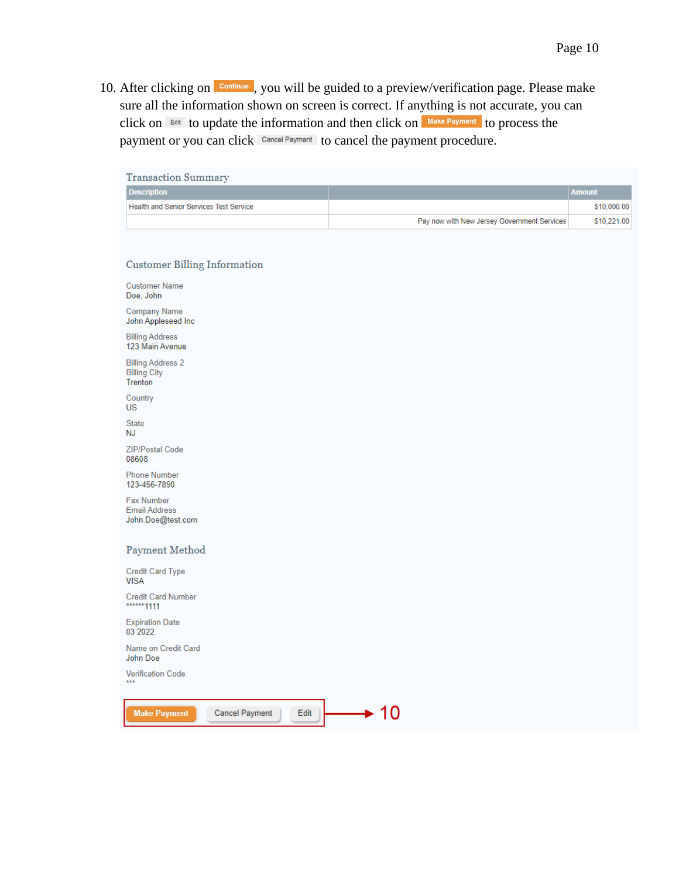10. After clicking on **Continue**, you will be guided to a preview/verification page. Please make sure all the information shown on screen is correct. If anything is not accurate, you can click on  $F<sup>diff</sup>$  to update the information and then click on  $\frac{Make\,Payment}{A}$  to process the payment or you can click Cancel Payment to cancel the payment procedure.

| <b>Transaction Summary</b>                                     |                                             |               |
|----------------------------------------------------------------|---------------------------------------------|---------------|
| <b>Description</b>                                             |                                             | <b>Amount</b> |
| Health and Senior Services Test Service                        |                                             | \$10,000.00   |
|                                                                | Pay now with New Jersey Government Services | \$10,221.00   |
|                                                                |                                             |               |
| <b>Customer Billing Information</b>                            |                                             |               |
| <b>Customer Name</b><br>Doe, John                              |                                             |               |
| <b>Company Name</b><br>John Appleseed Inc                      |                                             |               |
| <b>Billing Address</b><br>123 Main Avenue                      |                                             |               |
| <b>Billing Address 2</b><br><b>Billing City</b><br>Trenton     |                                             |               |
| Country<br>US                                                  |                                             |               |
| <b>State</b><br>NJ                                             |                                             |               |
| ZIP/Postal Code<br>08608                                       |                                             |               |
| <b>Phone Number</b><br>123-456-7890                            |                                             |               |
| <b>Fax Number</b><br><b>Email Address</b><br>John.Doe@test.com |                                             |               |
| Payment Method                                                 |                                             |               |
| Credit Card Type<br><b>VISA</b>                                |                                             |               |
| <b>Credit Card Number</b><br>****** 1111                       |                                             |               |
| <b>Expiration Date</b><br>03 20 22                             |                                             |               |
| Name on Credit Card<br>John Doe                                |                                             |               |
| <b>Verification Code</b><br>$***$                              |                                             |               |
| <b>Make Payment</b><br><b>Cancel Payment</b><br>Edit           | $\div$ 10                                   |               |